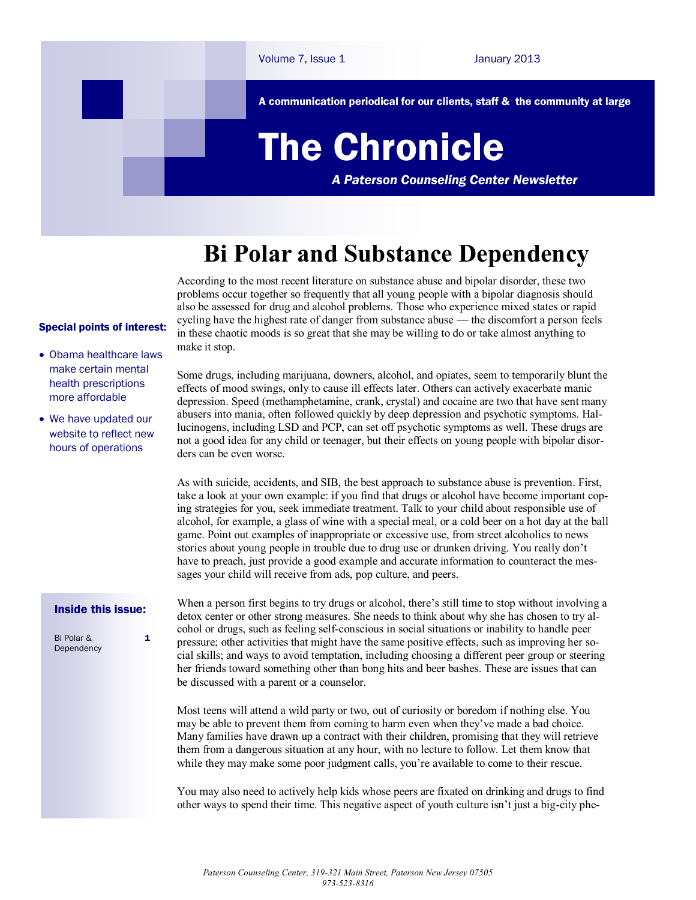

## **Bi Polar and Substance Dependency**

According to the most recent literature on substance abuse and bipolar disorder, these two problems occur together so frequently that all young people with a bipolar diagnosis should also be assessed for drug and alcohol problems. Those who experience mixed states or rapid cycling have the highest rate of danger from substance abuse — the discomfort a person feels in these chaotic moods is so great that she may be willing to do or take almost anything to make it stop.

## Special points of interest:

- Obama healthcare laws make certain mental health prescriptions more affordable
- We have updated our website to reflect new hours of operations

Some drugs, including marijuana, downers, alcohol, and opiates, seem to temporarily blunt the effects of mood swings, only to cause ill effects later. Others can actively exacerbate manic depression. Speed (methamphetamine, crank, crystal) and cocaine are two that have sent many abusers into mania, often followed quickly by deep depression and psychotic symptoms. Hallucinogens, including LSD and PCP, can set off psychotic symptoms as well. These drugs are not a good idea for any child or teenager, but their effects on young people with bipolar disorders can be even worse.

As with suicide, accidents, and SIB, the best approach to substance abuse is prevention. First, take a look at your own example: if you find that drugs or alcohol have become important coping strategies for you, seek immediate treatment. Talk to your child about responsible use of alcohol, for example, a glass of wine with a special meal, or a cold beer on a hot day at the ball game. Point out examples of inappropriate or excessive use, from street alcoholics to news stories about young people in trouble due to drug use or drunken driving. You really don't have to preach, just provide a good example and accurate information to counteract the messages your child will receive from ads, pop culture, and peers.

## Inside this issue:

1

Bi Polar & **Dependency**  When a person first begins to try drugs or alcohol, there's still time to stop without involving a detox center or other strong measures. She needs to think about why she has chosen to try alcohol or drugs, such as feeling self-conscious in social situations or inability to handle peer pressure; other activities that might have the same positive effects, such as improving her social skills; and ways to avoid temptation, including choosing a different peer group or steering her friends toward something other than bong hits and beer bashes. These are issues that can be discussed with a parent or a counselor.

Most teens will attend a wild party or two, out of curiosity or boredom if nothing else. You may be able to prevent them from coming to harm even when they've made a bad choice. Many families have drawn up a contract with their children, promising that they will retrieve them from a dangerous situation at any hour, with no lecture to follow. Let them know that while they may make some poor judgment calls, you're available to come to their rescue.

You may also need to actively help kids whose peers are fixated on drinking and drugs to find other ways to spend their time. This negative aspect of youth culture isn't just a big-city phe-